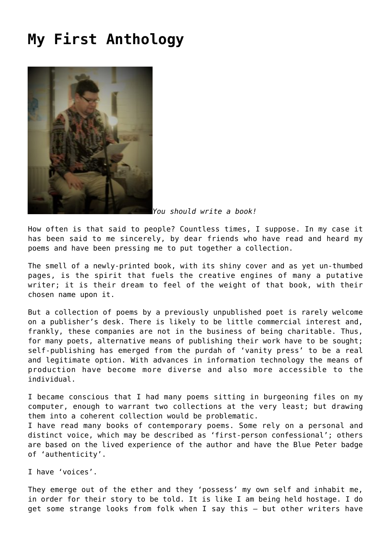## **[My First Anthology](https://corncrakemagazine.com/article/my-first-anthology/)**



*You should write a book!*

How often is that said to people? Countless times, I suppose. In my case it has been said to me sincerely, by dear friends who have read and heard my poems and have been pressing me to put together a collection.

The smell of a newly-printed book, with its shiny cover and as yet un-thumbed pages, is the spirit that fuels the creative engines of many a putative writer; it is their dream to feel of the weight of that book, with their chosen name upon it.

But a collection of poems by a previously unpublished poet is rarely welcome on a publisher's desk. There is likely to be little commercial interest and, frankly, these companies are not in the business of being charitable. Thus, for many poets, alternative means of publishing their work have to be sought; self-publishing has emerged from the purdah of 'vanity press' to be a real and legitimate option. With advances in information technology the means of production have become more diverse and also more accessible to the individual.

I became conscious that I had many poems sitting in burgeoning files on my computer, enough to warrant two collections at the very least; but drawing them into a coherent collection would be problematic.

I have read many books of contemporary poems. Some rely on a personal and distinct voice, which may be described as 'first-person confessional'; others are based on the lived experience of the author and have the Blue Peter badge of 'authenticity'.

I have 'voices'.

They emerge out of the ether and they 'possess' my own self and inhabit me, in order for their story to be told. It is like I am being held hostage. I do get some strange looks from folk when I say this – but other writers have